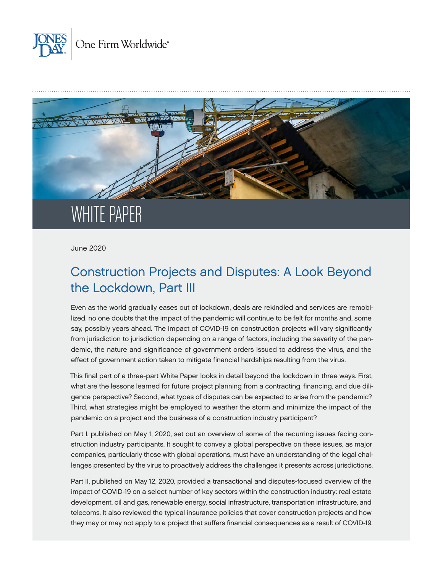



June 2020

# Construction Projects and Disputes: A Look Beyond the Lockdown, Part III

Even as the world gradually eases out of lockdown, deals are rekindled and services are remobilized, no one doubts that the impact of the pandemic will continue to be felt for months and, some say, possibly years ahead. The impact of COVID-19 on construction projects will vary significantly from jurisdiction to jurisdiction depending on a range of factors, including the severity of the pandemic, the nature and significance of government orders issued to address the virus, and the effect of government action taken to mitigate financial hardships resulting from the virus.

This final part of a three-part White Paper looks in detail beyond the lockdown in three ways. First, what are the lessons learned for future project planning from a contracting, financing, and due diligence perspective? Second, what types of disputes can be expected to arise from the pandemic? Third, what strategies might be employed to weather the storm and minimize the impact of the pandemic on a project and the business of a construction industry participant?

Part I, published on May 1, 2020, set out an overview of some of the recurring issues facing construction industry participants. It sought to convey a global perspective on these issues, as major companies, particularly those with global operations, must have an understanding of the legal challenges presented by the virus to proactively address the challenges it presents across jurisdictions.

Part II, published on May 12, 2020, provided a transactional and disputes-focused overview of the impact of COVID-19 on a select number of key sectors within the construction industry: real estate development, oil and gas, renewable energy, social infrastructure, transportation infrastructure, and telecoms. It also reviewed the typical insurance policies that cover construction projects and how they may or may not apply to a project that suffers financial consequences as a result of COVID-19.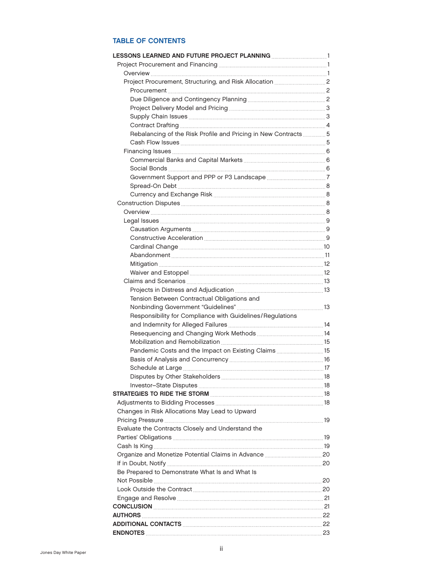# TABLE OF CONTENTS

| Rebalancing of the Risk Profile and Pricing in New Contracts 5 |  |
|----------------------------------------------------------------|--|
|                                                                |  |
|                                                                |  |
|                                                                |  |
|                                                                |  |
|                                                                |  |
|                                                                |  |
|                                                                |  |
|                                                                |  |
|                                                                |  |
|                                                                |  |
|                                                                |  |
|                                                                |  |
|                                                                |  |
|                                                                |  |
|                                                                |  |
|                                                                |  |
|                                                                |  |
|                                                                |  |
| Tension Between Contractual Obligations and                    |  |
|                                                                |  |
| Responsibility for Compliance with Guidelines/Regulations      |  |
|                                                                |  |
|                                                                |  |
|                                                                |  |
| Pandemic Costs and the Impact on Existing Claims 15            |  |
|                                                                |  |
|                                                                |  |
|                                                                |  |
|                                                                |  |
|                                                                |  |
|                                                                |  |
| Changes in Risk Allocations May Lead to Upward                 |  |
|                                                                |  |
| Evaluate the Contracts Closely and Understand the              |  |
|                                                                |  |
|                                                                |  |
|                                                                |  |
|                                                                |  |
| Be Prepared to Demonstrate What Is and What Is                 |  |
|                                                                |  |
|                                                                |  |
|                                                                |  |
| CONCLUSION 21 21                                               |  |
|                                                                |  |
|                                                                |  |
|                                                                |  |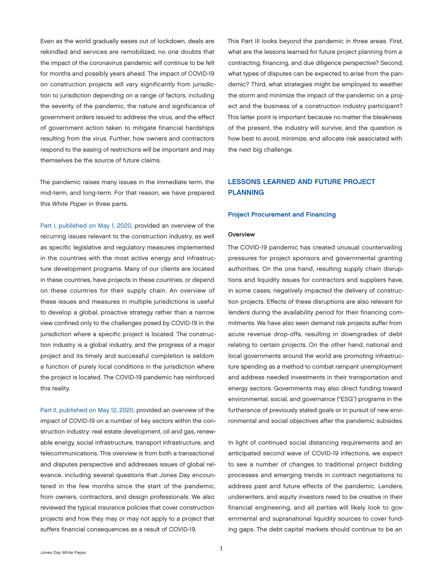<span id="page-2-0"></span>Even as the world gradually eases out of lockdown, deals are rekindled and services are remobilized, no one doubts that the impact of the coronavirus pandemic will continue to be felt for months and possibly years ahead. The impact of COVID-19 on construction projects will vary significantly from jurisdiction to jurisdiction depending on a range of factors, including the severity of the pandemic, the nature and significance of government orders issued to address the virus, and the effect of government action taken to mitigate financial hardships resulting from the virus. Further, how owners and contractors respond to the easing of restrictions will be important and may themselves be the source of future claims.

The pandemic raises many issues in the immediate term, the mid-term, and long-term. For that reason, we have prepared this *White Paper* in three parts.

[Part I, published on May 1, 2020,](https://www.jonesday.com/en/insights/2020/05/construction-projects-and-disputes-a-look-beyond-the-covid19-lockdown) provided an overview of the recurring issues relevant to the construction industry, as well as specific legislative and regulatory measures implemented in the countries with the most active energy and infrastructure development programs. Many of our clients are located in these countries, have projects in these countries, or depend on these countries for their supply chain. An overview of these issues and measures in multiple jurisdictions is useful to develop a global, proactive strategy rather than a narrow view confined only to the challenges posed by COVID-19 in the jurisdiction where a specific project is located. The construction industry is a global industry, and the progress of a major project and its timely and successful completion is seldom a function of purely local conditions in the jurisdiction where the project is located. The COVID-19 pandemic has reinforced this reality.

[Part II, published on May 12, 2020,](https://www.jonesday.com/en/insights/2020/05/construction-projects-and-disputes-a-look-beyond-the-covid19-lockdown-part-ii) provided an overview of the impact of COVID-19 on a number of key sectors within the construction industry: real estate development, oil and gas, renewable energy, social infrastructure, transport infrastructure, and telecommunications. This overview is from both a transactional and disputes perspective and addresses issues of global relevance, including several questions that Jones Day encountered in the few months since the start of the pandemic, from owners, contractors, and design professionals. We also reviewed the typical insurance policies that cover construction projects and how they may or may not apply to a project that suffers financial consequences as a result of COVID-19.

This Part III looks beyond the pandemic in three areas. First, what are the lessons learned for future project planning from a contracting, financing, and due diligence perspective? Second, what types of disputes can be expected to arise from the pandemic? Third, what strategies might be employed to weather the storm and minimize the impact of the pandemic on a project and the business of a construction industry participant? This latter point is important because no matter the bleakness of the present, the industry will survive, and the question is how best to avoid, minimize, and allocate risk associated with the next big challenge.

### LESSONS LEARNED AND FUTURE PROJECT PLANNING

### Project Procurement and Financing

#### **Overview**

The COVID-19 pandemic has created unusual countervailing pressures for project sponsors and governmental granting authorities. On the one hand, resulting supply chain disruptions and liquidity issues for contractors and suppliers have, in some cases, negatively impacted the delivery of construction projects. Effects of these disruptions are also relevant for lenders during the availability period for their financing commitments. We have also seen demand risk projects suffer from acute revenue drop-offs, resulting in downgrades of debt relating to certain projects. On the other hand, national and local governments around the world are promoting infrastructure spending as a method to combat rampant unemployment and address needed investments in their transportation and energy sectors. Governments may also direct funding toward environmental, social, and governance ("ESG") programs in the furtherance of previously stated goals or in pursuit of new environmental and social objectives after the pandemic subsides.

In light of continued social distancing requirements and an anticipated second wave of COVID-19 infections, we expect to see a number of changes to traditional project bidding processes and emerging trends in contract negotiations to address past and future effects of the pandemic. Lenders, underwriters, and equity investors need to be creative in their financial engineering, and all parties will likely look to governmental and supranational liquidity sources to cover funding gaps. The debt capital markets should continue to be an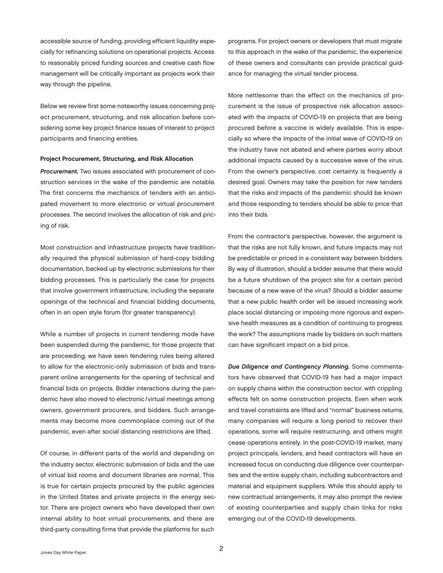<span id="page-3-0"></span>accessible source of funding, providing efficient liquidity especially for refinancing solutions on operational projects. Access to reasonably priced funding sources and creative cash flow management will be critically important as projects work their way through the pipeline.

Below we review first some noteworthy issues concerning project procurement, structuring, and risk allocation before considering some key project finance issues of interest to project participants and financing entities.

#### Project Procurement, Structuring, and Risk Allocation

*Procurement.* Two issues associated with procurement of construction services in the wake of the pandemic are notable. The first concerns the mechanics of tenders with an anticipated movement to more electronic or virtual procurement processes. The second involves the allocation of risk and pricing of risk.

Most construction and infrastructure projects have traditionally required the physical submission of hard-copy bidding documentation, backed up by electronic submissions for their bidding processes. This is particularly the case for projects that involve government infrastructure, including the separate openings of the technical and financial bidding documents, often in an open style forum (for greater transparency).

While a number of projects in current tendering mode have been suspended during the pandemic, for those projects that are proceeding, we have seen tendering rules being altered to allow for the electronic-only submission of bids and transparent online arrangements for the opening of technical and financial bids on projects. Bidder interactions during the pandemic have also moved to electronic/ virtual meetings among owners, government procurers, and bidders. Such arrangements may become more commonplace coming out of the pandemic, even after social distancing restrictions are lifted.

Of course, in different parts of the world and depending on the industry sector, electronic submission of bids and the use of virtual bid rooms and document libraries are normal. This is true for certain projects procured by the public agencies in the United States and private projects in the energy sector. There are project owners who have developed their own internal ability to host virtual procurements, and there are third-party consulting firms that provide the platforms for such

programs. For project owners or developers that must migrate to this approach in the wake of the pandemic, the experience of these owners and consultants can provide practical guidance for managing the virtual tender process.

More nettlesome than the effect on the mechanics of procurement is the issue of prospective risk allocation associated with the impacts of COVID-19 on projects that are being procured before a vaccine is widely available. This is especially so where the impacts of the initial wave of COVID-19 on the industry have not abated and where parties worry about additional impacts caused by a successive wave of the virus. From the owner's perspective, cost certainty is frequently a desired goal. Owners may take the position for new tenders that the risks and impacts of the pandemic should be known and those responding to tenders should be able to price that into their bids.

From the contractor's perspective, however, the argument is that the risks are not fully known, and future impacts may not be predictable or priced in a consistent way between bidders. By way of illustration, should a bidder assume that there would be a future shutdown of the project site for a certain period because of a new wave of the virus? Should a bidder assume that a new public health order will be issued increasing work place social distancing or imposing more rigorous and expensive health measures as a condition of continuing to progress the work? The assumptions made by bidders on such matters can have significant impact on a bid price.

*Due Diligence and Contingency Planning.* Some commentators have observed that COVID-19 has had a major impact on supply chains within the construction sector, with crippling effects felt on some construction projects. Even when work and travel constraints are lifted and "normal" business returns, many companies will require a long period to recover their operations, some will require restructuring, and others might cease operations entirely. In the post-COVID-19 market, many project principals, lenders, and head contractors will have an increased focus on conducting due diligence over counterparties and the entire supply chain, including subcontractors and material and equipment suppliers. While this should apply to new contractual arrangements, it may also prompt the review of existing counterparties and supply chain links for risks emerging out of the COVID-19 developments.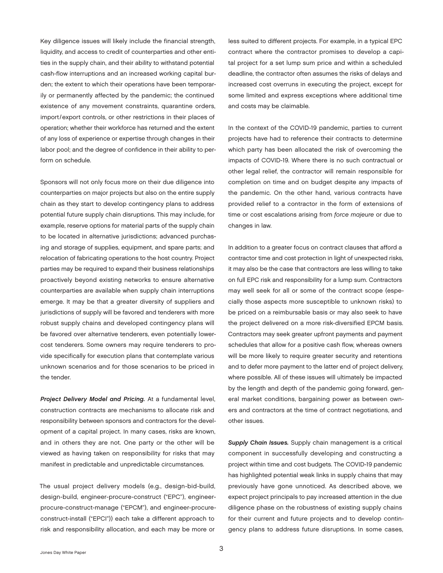<span id="page-4-0"></span>Key diligence issues will likely include the financial strength, liquidity, and access to credit of counterparties and other entities in the supply chain, and their ability to withstand potential cash-flow interruptions and an increased working capital burden; the extent to which their operations have been temporarily or permanently affected by the pandemic; the continued existence of any movement constraints, quarantine orders, import/export controls, or other restrictions in their places of operation; whether their workforce has returned and the extent of any loss of experience or expertise through changes in their labor pool; and the degree of confidence in their ability to perform on schedule.

Sponsors will not only focus more on their due diligence into counterparties on major projects but also on the entire supply chain as they start to develop contingency plans to address potential future supply chain disruptions. This may include, for example, reserve options for material parts of the supply chain to be located in alternative jurisdictions; advanced purchasing and storage of supplies, equipment, and spare parts; and relocation of fabricating operations to the host country. Project parties may be required to expand their business relationships proactively beyond existing networks to ensure alternative counterparties are available when supply chain interruptions emerge. It may be that a greater diversity of suppliers and jurisdictions of supply will be favored and tenderers with more robust supply chains and developed contingency plans will be favored over alternative tenderers, even potentially lowercost tenderers. Some owners may require tenderers to provide specifically for execution plans that contemplate various unknown scenarios and for those scenarios to be priced in the tender.

*Project Delivery Model and Pricing.* At a fundamental level, construction contracts are mechanisms to allocate risk and responsibility between sponsors and contractors for the development of a capital project. In many cases, risks are known, and in others they are not. One party or the other will be viewed as having taken on responsibility for risks that may manifest in predictable and unpredictable circumstances.

The usual project delivery models (e.g., design-bid-build, design-build, engineer-procure-construct ("EPC"), engineerprocure-construct-manage ("EPCM"), and engineer-procureconstruct-install ("EPCI")) each take a different approach to risk and responsibility allocation, and each may be more or

less suited to different projects. For example, in a typical EPC contract where the contractor promises to develop a capital project for a set lump sum price and within a scheduled deadline, the contractor often assumes the risks of delays and increased cost overruns in executing the project, except for some limited and express exceptions where additional time and costs may be claimable.

In the context of the COVID-19 pandemic, parties to current projects have had to reference their contracts to determine which party has been allocated the risk of overcoming the impacts of COVID-19. Where there is no such contractual or other legal relief, the contractor will remain responsible for completion on time and on budget despite any impacts of the pandemic. On the other hand, various contracts have provided relief to a contractor in the form of extensions of time or cost escalations arising from *force majeure* or due to changes in law.

In addition to a greater focus on contract clauses that afford a contractor time and cost protection in light of unexpected risks, it may also be the case that contractors are less willing to take on full EPC risk and responsibility for a lump sum. Contractors may well seek for all or some of the contract scope (especially those aspects more susceptible to unknown risks) to be priced on a reimbursable basis or may also seek to have the project delivered on a more risk-diversified EPCM basis. Contractors may seek greater upfront payments and payment schedules that allow for a positive cash flow, whereas owners will be more likely to require greater security and retentions and to defer more payment to the latter end of project delivery, where possible. All of these issues will ultimately be impacted by the length and depth of the pandemic going forward, general market conditions, bargaining power as between owners and contractors at the time of contract negotiations, and other issues.

*Supply Chain Issues.* Supply chain management is a critical component in successfully developing and constructing a project within time and cost budgets. The COVID-19 pandemic has highlighted potential weak links in supply chains that may previously have gone unnoticed. As described above, we expect project principals to pay increased attention in the due diligence phase on the robustness of existing supply chains for their current and future projects and to develop contingency plans to address future disruptions. In some cases,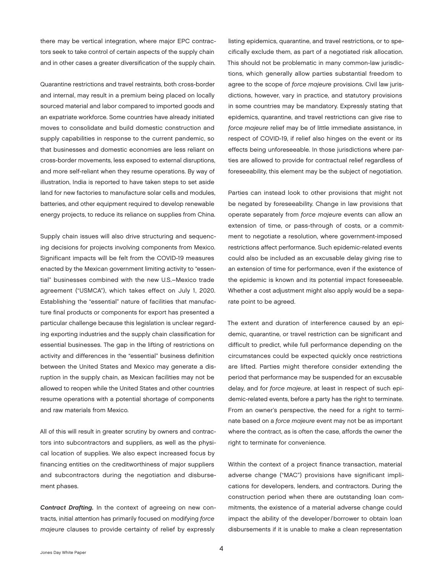<span id="page-5-0"></span>there may be vertical integration, where major EPC contractors seek to take control of certain aspects of the supply chain and in other cases a greater diversification of the supply chain.

Quarantine restrictions and travel restraints, both cross-border and internal, may result in a premium being placed on locally sourced material and labor compared to imported goods and an expatriate workforce. Some countries have already initiated moves to consolidate and build domestic construction and supply capabilities in response to the current pandemic, so that businesses and domestic economies are less reliant on cross-border movements, less exposed to external disruptions, and more self-reliant when they resume operations. By way of illustration, India is reported to have taken steps to set aside land for new factories to manufacture solar cells and modules, batteries, and other equipment required to develop renewable energy projects, to reduce its reliance on supplies from China.

Supply chain issues will also drive structuring and sequencing decisions for projects involving components from Mexico. Significant impacts will be felt from the COVID-19 measures enacted by the Mexican government limiting activity to "essential" businesses combined with the new U.S.–Mexico trade agreement ("USMCA"), which takes effect on July 1, 2020. Establishing the "essential" nature of facilities that manufacture final products or components for export has presented a particular challenge because this legislation is unclear regarding exporting industries and the supply chain classification for essential businesses. The gap in the lifting of restrictions on activity and differences in the "essential" business definition between the United States and Mexico may generate a disruption in the supply chain, as Mexican facilities may not be allowed to reopen while the United States and other countries resume operations with a potential shortage of components and raw materials from Mexico.

All of this will result in greater scrutiny by owners and contractors into subcontractors and suppliers, as well as the physical location of supplies. We also expect increased focus by financing entities on the creditworthiness of major suppliers and subcontractors during the negotiation and disbursement phases.

*Contract Drafting.* In the context of agreeing on new contracts, initial attention has primarily focused on modifying *force majeure* clauses to provide certainty of relief by expressly

listing epidemics, quarantine, and travel restrictions, or to specifically exclude them, as part of a negotiated risk allocation. This should not be problematic in many common-law jurisdictions, which generally allow parties substantial freedom to agree to the scope of *force majeure* provisions. Civil law jurisdictions, however, vary in practice, and statutory provisions in some countries may be mandatory. Expressly stating that epidemics, quarantine, and travel restrictions can give rise to *force majeure* relief may be of little immediate assistance, in respect of COVID-19, if relief also hinges on the event or its effects being unforeseeable. In those jurisdictions where parties are allowed to provide for contractual relief regardless of foreseeability, this element may be the subject of negotiation.

Parties can instead look to other provisions that might not be negated by foreseeability. Change in law provisions that operate separately from *force majeure* events can allow an extension of time, or pass-through of costs, or a commitment to negotiate a resolution, where government-imposed restrictions affect performance. Such epidemic-related events could also be included as an excusable delay giving rise to an extension of time for performance, even if the existence of the epidemic is known and its potential impact foreseeable. Whether a cost adjustment might also apply would be a separate point to be agreed.

The extent and duration of interference caused by an epidemic, quarantine, or travel restriction can be significant and difficult to predict, while full performance depending on the circumstances could be expected quickly once restrictions are lifted. Parties might therefore consider extending the period that performance may be suspended for an excusable delay, and for *force majeure*, at least in respect of such epidemic-related events, before a party has the right to terminate. From an owner's perspective, the need for a right to terminate based on a *force majeure* event may not be as important where the contract, as is often the case, affords the owner the right to terminate for convenience.

Within the context of a project finance transaction, material adverse change ("MAC") provisions have significant implications for developers, lenders, and contractors. During the construction period when there are outstanding loan commitments, the existence of a material adverse change could impact the ability of the developer/borrower to obtain loan disbursements if it is unable to make a clean representation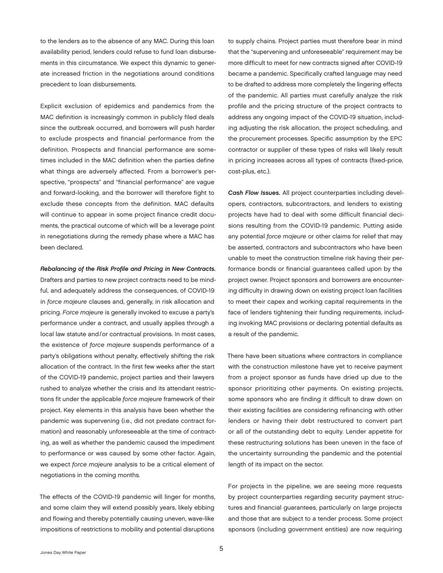<span id="page-6-0"></span>to the lenders as to the absence of any MAC. During this loan availability period, lenders could refuse to fund loan disbursements in this circumstance. We expect this dynamic to generate increased friction in the negotiations around conditions precedent to loan disbursements.

Explicit exclusion of epidemics and pandemics from the MAC definition is increasingly common in publicly filed deals since the outbreak occurred, and borrowers will push harder to exclude prospects and financial performance from the definition. Prospects and financial performance are sometimes included in the MAC definition when the parties define what things are adversely affected. From a borrower's perspective, "prospects" and "financial performance" are vague and forward-looking, and the borrower will therefore fight to exclude these concepts from the definition. MAC defaults will continue to appear in some project finance credit documents, the practical outcome of which will be a leverage point in renegotiations during the remedy phase where a MAC has been declared.

*Rebalancing of the Risk Profile and Pricing in New Contracts.* Drafters and parties to new project contracts need to be mindful, and adequately address the consequences, of COVID-19 in *force majeure* clauses and, generally, in risk allocation and pricing. *Force majeure* is generally invoked to excuse a party's performance under a contract, and usually applies through a local law statute and/or contractual provisions. In most cases, the existence of *force majeure* suspends performance of a party's obligations without penalty, effectively shifting the risk allocation of the contract. In the first few weeks after the start of the COVID-19 pandemic, project parties and their lawyers rushed to analyze whether the crisis and its attendant restrictions fit under the applicable *force majeure* framework of their project. Key elements in this analysis have been whether the pandemic was supervening (i.e., did not predate contract formation) and reasonably unforeseeable at the time of contracting, as well as whether the pandemic caused the impediment to performance or was caused by some other factor. Again, we expect *force majeure* analysis to be a critical element of negotiations in the coming months.

The effects of the COVID-19 pandemic will linger for months, and some claim they will extend possibly years, likely ebbing and flowing and thereby potentially causing uneven, wave-like impositions of restrictions to mobility and potential disruptions

to supply chains. Project parties must therefore bear in mind that the "supervening and unforeseeable" requirement may be more difficult to meet for new contracts signed after COVID-19 became a pandemic. Specifically crafted language may need to be drafted to address more completely the lingering effects of the pandemic. All parties must carefully analyze the risk profile and the pricing structure of the project contracts to address any ongoing impact of the COVID-19 situation, including adjusting the risk allocation, the project scheduling, and the procurement processes. Specific assumption by the EPC contractor or supplier of these types of risks will likely result in pricing increases across all types of contracts (fixed-price, cost-plus, etc.).

*Cash Flow Issues.* All project counterparties including developers, contractors, subcontractors, and lenders to existing projects have had to deal with some difficult financial decisions resulting from the COVID-19 pandemic. Putting aside any potential *force majeure* or other claims for relief that may be asserted, contractors and subcontractors who have been unable to meet the construction timeline risk having their performance bonds or financial guarantees called upon by the project owner. Project sponsors and borrowers are encountering difficulty in drawing down on existing project loan facilities to meet their capex and working capital requirements in the face of lenders tightening their funding requirements, including invoking MAC provisions or declaring potential defaults as a result of the pandemic.

There have been situations where contractors in compliance with the construction milestone have yet to receive payment from a project sponsor as funds have dried up due to the sponsor prioritizing other payments. On existing projects, some sponsors who are finding it difficult to draw down on their existing facilities are considering refinancing with other lenders or having their debt restructured to convert part or all of the outstanding debt to equity. Lender appetite for these restructuring solutions has been uneven in the face of the uncertainty surrounding the pandemic and the potential length of its impact on the sector.

For projects in the pipeline, we are seeing more requests by project counterparties regarding security payment structures and financial guarantees, particularly on large projects and those that are subject to a tender process. Some project sponsors (including government entities) are now requiring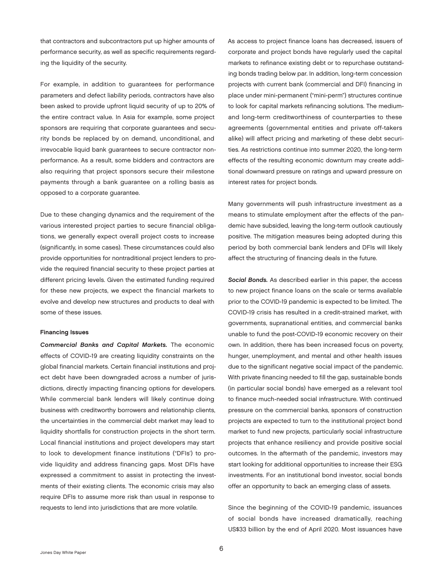<span id="page-7-0"></span>that contractors and subcontractors put up higher amounts of performance security, as well as specific requirements regarding the liquidity of the security.

For example, in addition to guarantees for performance parameters and defect liability periods, contractors have also been asked to provide upfront liquid security of up to 20% of the entire contract value. In Asia for example, some project sponsors are requiring that corporate guarantees and security bonds be replaced by on demand, unconditional, and irrevocable liquid bank guarantees to secure contractor nonperformance. As a result, some bidders and contractors are also requiring that project sponsors secure their milestone payments through a bank guarantee on a rolling basis as opposed to a corporate guarantee.

Due to these changing dynamics and the requirement of the various interested project parties to secure financial obligations, we generally expect overall project costs to increase (significantly, in some cases). These circumstances could also provide opportunities for nontraditional project lenders to provide the required financial security to these project parties at different pricing levels. Given the estimated funding required for these new projects, we expect the financial markets to evolve and develop new structures and products to deal with some of these issues.

#### Financing Issues

*Commercial Banks and Capital Markets.* The economic effects of COVID-19 are creating liquidity constraints on the global financial markets. Certain financial institutions and project debt have been downgraded across a number of jurisdictions, directly impacting financing options for developers. While commercial bank lenders will likely continue doing business with creditworthy borrowers and relationship clients, the uncertainties in the commercial debt market may lead to liquidity shortfalls for construction projects in the short term. Local financial institutions and project developers may start to look to development finance institutions ("DFIs') to provide liquidity and address financing gaps. Most DFIs have expressed a commitment to assist in protecting the investments of their existing clients. The economic crisis may also require DFIs to assume more risk than usual in response to requests to lend into jurisdictions that are more volatile.

As access to project finance loans has decreased, issuers of corporate and project bonds have regularly used the capital markets to refinance existing debt or to repurchase outstanding bonds trading below par. In addition, long-term concession projects with current bank (commercial and DFI) financing in place under mini-permanent ("mini-perm") structures continue to look for capital markets refinancing solutions. The mediumand long-term creditworthiness of counterparties to these agreements (governmental entities and private off-takers alike) will affect pricing and marketing of these debt securities. As restrictions continue into summer 2020, the long-term effects of the resulting economic downturn may create additional downward pressure on ratings and upward pressure on interest rates for project bonds.

Many governments will push infrastructure investment as a means to stimulate employment after the effects of the pandemic have subsided, leaving the long-term outlook cautiously positive. The mitigation measures being adopted during this period by both commercial bank lenders and DFIs will likely affect the structuring of financing deals in the future.

*Social Bonds.* As described earlier in this paper, the access to new project finance loans on the scale or terms available prior to the COVID-19 pandemic is expected to be limited. The COVID-19 crisis has resulted in a credit-strained market, with governments, supranational entities, and commercial banks unable to fund the post-COVID-19 economic recovery on their own. In addition, there has been increased focus on poverty, hunger, unemployment, and mental and other health issues due to the significant negative social impact of the pandemic. With private financing needed to fill the gap, sustainable bonds (in particular social bonds) have emerged as a relevant tool to finance much-needed social infrastructure. With continued pressure on the commercial banks, sponsors of construction projects are expected to turn to the institutional project bond market to fund new projects, particularly social infrastructure projects that enhance resiliency and provide positive social outcomes. In the aftermath of the pandemic, investors may start looking for additional opportunities to increase their ESG investments. For an institutional bond investor, social bonds offer an opportunity to back an emerging class of assets.

Since the beginning of the COVID-19 pandemic, issuances of social bonds have increased dramatically, reaching US\$33 billion by the end of April 2020. Most issuances have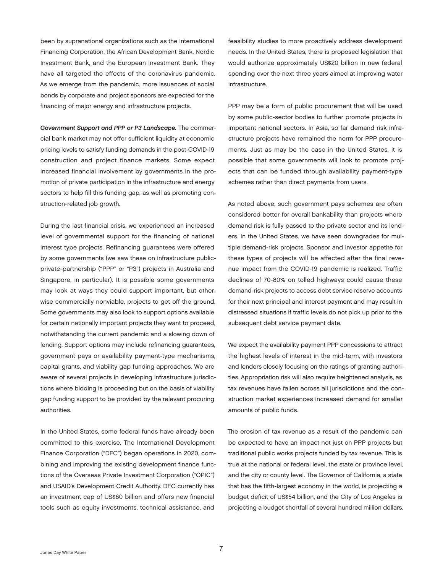<span id="page-8-0"></span>been by supranational organizations such as the International Financing Corporation, the African Development Bank, Nordic Investment Bank, and the European Investment Bank. They have all targeted the effects of the coronavirus pandemic. As we emerge from the pandemic, more issuances of social bonds by corporate and project sponsors are expected for the financing of major energy and infrastructure projects.

*Government Support and PPP or P3 Landscape.* The commercial bank market may not offer sufficient liquidity at economic pricing levels to satisfy funding demands in the post-COVID-19 construction and project finance markets. Some expect increased financial involvement by governments in the promotion of private participation in the infrastructure and energy sectors to help fill this funding gap, as well as promoting construction-related job growth.

During the last financial crisis, we experienced an increased level of governmental support for the financing of national interest type projects. Refinancing guarantees were offered by some governments (we saw these on infrastructure publicprivate-partnership ("PPP" or "P3") projects in Australia and Singapore, in particular). It is possible some governments may look at ways they could support important, but otherwise commercially nonviable, projects to get off the ground. Some governments may also look to support options available for certain nationally important projects they want to proceed, notwithstanding the current pandemic and a slowing down of lending. Support options may include refinancing guarantees, government pays or availability payment-type mechanisms, capital grants, and viability gap funding approaches. We are aware of several projects in developing infrastructure jurisdictions where bidding is proceeding but on the basis of viability gap funding support to be provided by the relevant procuring authorities.

In the United States, some federal funds have already been committed to this exercise. The International Development Finance Corporation ("DFC") began operations in 2020, combining and improving the existing development finance functions of the Overseas Private Investment Corporation ("OPIC") and USAID's Development Credit Authority. DFC currently has an investment cap of US\$60 billion and offers new financial tools such as equity investments, technical assistance, and

feasibility studies to more proactively address development needs. In the United States, there is proposed legislation that would authorize approximately US\$20 billion in new federal spending over the next three years aimed at improving water infrastructure.

PPP may be a form of public procurement that will be used by some public-sector bodies to further promote projects in important national sectors. In Asia, so far demand risk infrastructure projects have remained the norm for PPP procurements. Just as may be the case in the United States, it is possible that some governments will look to promote projects that can be funded through availability payment-type schemes rather than direct payments from users.

As noted above, such government pays schemes are often considered better for overall bankability than projects where demand risk is fully passed to the private sector and its lenders. In the United States, we have seen downgrades for multiple demand-risk projects. Sponsor and investor appetite for these types of projects will be affected after the final revenue impact from the COVID-19 pandemic is realized. Traffic declines of 70-80% on tolled highways could cause these demand-risk projects to access debt service reserve accounts for their next principal and interest payment and may result in distressed situations if traffic levels do not pick up prior to the subsequent debt service payment date.

We expect the availability payment PPP concessions to attract the highest levels of interest in the mid-term, with investors and lenders closely focusing on the ratings of granting authorities. Appropriation risk will also require heightened analysis, as tax revenues have fallen across all jurisdictions and the construction market experiences increased demand for smaller amounts of public funds.

The erosion of tax revenue as a result of the pandemic can be expected to have an impact not just on PPP projects but traditional public works projects funded by tax revenue. This is true at the national or federal level, the state or province level, and the city or county level. The Governor of California, a state that has the fifth-largest economy in the world, is projecting a budget deficit of US\$54 billion, and the City of Los Angeles is projecting a budget shortfall of several hundred million dollars.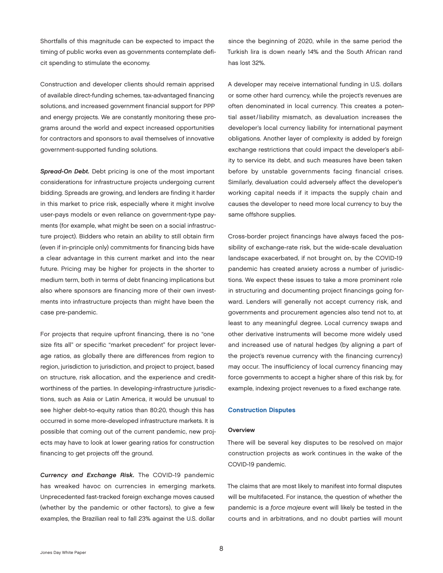<span id="page-9-0"></span>Shortfalls of this magnitude can be expected to impact the timing of public works even as governments contemplate deficit spending to stimulate the economy.

Construction and developer clients should remain apprised of available direct-funding schemes, tax-advantaged financing solutions, and increased government financial support for PPP and energy projects. We are constantly monitoring these programs around the world and expect increased opportunities for contractors and sponsors to avail themselves of innovative government-supported funding solutions.

*Spread-On Debt.* Debt pricing is one of the most important considerations for infrastructure projects undergoing current bidding. Spreads are growing, and lenders are finding it harder in this market to price risk, especially where it might involve user-pays models or even reliance on government-type payments (for example, what might be seen on a social infrastructure project). Bidders who retain an ability to still obtain firm (even if in-principle only) commitments for financing bids have a clear advantage in this current market and into the near future. Pricing may be higher for projects in the shorter to medium term, both in terms of debt financing implications but also where sponsors are financing more of their own investments into infrastructure projects than might have been the case pre-pandemic.

For projects that require upfront financing, there is no "one size fits all" or specific "market precedent" for project leverage ratios, as globally there are differences from region to region, jurisdiction to jurisdiction, and project to project, based on structure, risk allocation, and the experience and creditworthiness of the parties. In developing-infrastructure jurisdictions, such as Asia or Latin America, it would be unusual to see higher debt-to-equity ratios than 80:20, though this has occurred in some more-developed infrastructure markets. It is possible that coming out of the current pandemic, new projects may have to look at lower gearing ratios for construction financing to get projects off the ground.

*Currency and Exchange Risk.* The COVID-19 pandemic has wreaked havoc on currencies in emerging markets. Unprecedented fast-tracked foreign exchange moves caused (whether by the pandemic or other factors), to give a few examples, the Brazilian real to fall 23% against the U.S. dollar

since the beginning of 2020, while in the same period the Turkish lira is down nearly 14% and the South African rand has lost 32%.

A developer may receive international funding in U.S. dollars or some other hard currency, while the project's revenues are often denominated in local currency. This creates a potential asset/ liability mismatch, as devaluation increases the developer's local currency liability for international payment obligations. Another layer of complexity is added by foreign exchange restrictions that could impact the developer's ability to service its debt, and such measures have been taken before by unstable governments facing financial crises. Similarly, devaluation could adversely affect the developer's working capital needs if it impacts the supply chain and causes the developer to need more local currency to buy the same offshore supplies.

Cross-border project financings have always faced the possibility of exchange-rate risk, but the wide-scale devaluation landscape exacerbated, if not brought on, by the COVID-19 pandemic has created anxiety across a number of jurisdictions. We expect these issues to take a more prominent role in structuring and documenting project financings going forward. Lenders will generally not accept currency risk, and governments and procurement agencies also tend not to, at least to any meaningful degree. Local currency swaps and other derivative instruments will become more widely used and increased use of natural hedges (by aligning a part of the project's revenue currency with the financing currency) may occur. The insufficiency of local currency financing may force governments to accept a higher share of this risk by, for example, indexing project revenues to a fixed exchange rate.

### Construction Disputes

#### **Overview**

There will be several key disputes to be resolved on major construction projects as work continues in the wake of the COVID-19 pandemic.

The claims that are most likely to manifest into formal disputes will be multifaceted. For instance, the question of whether the pandemic is a *force majeure* event will likely be tested in the courts and in arbitrations, and no doubt parties will mount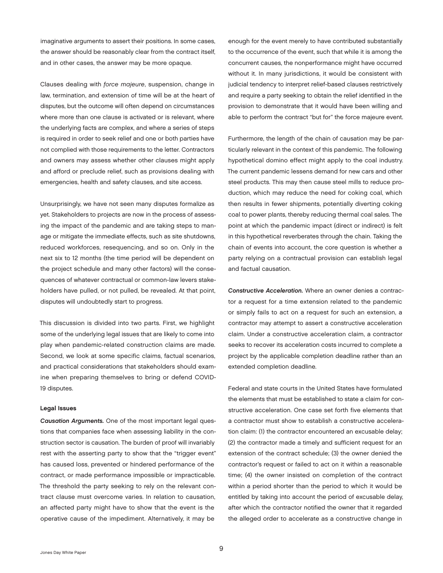<span id="page-10-0"></span>imaginative arguments to assert their positions. In some cases, the answer should be reasonably clear from the contract itself, and in other cases, the answer may be more opaque.

Clauses dealing with *force majeure*, suspension, change in law, termination, and extension of time will be at the heart of disputes, but the outcome will often depend on circumstances where more than one clause is activated or is relevant, where the underlying facts are complex, and where a series of steps is required in order to seek relief and one or both parties have not complied with those requirements to the letter. Contractors and owners may assess whether other clauses might apply and afford or preclude relief, such as provisions dealing with emergencies, health and safety clauses, and site access.

Unsurprisingly, we have not seen many disputes formalize as yet. Stakeholders to projects are now in the process of assessing the impact of the pandemic and are taking steps to manage or mitigate the immediate effects, such as site shutdowns, reduced workforces, resequencing, and so on. Only in the next six to 12 months (the time period will be dependent on the project schedule and many other factors) will the consequences of whatever contractual or common-law levers stakeholders have pulled, or not pulled, be revealed. At that point, disputes will undoubtedly start to progress.

This discussion is divided into two parts. First, we highlight some of the underlying legal issues that are likely to come into play when pandemic-related construction claims are made. Second, we look at some specific claims, factual scenarios, and practical considerations that stakeholders should examine when preparing themselves to bring or defend COVID-19 disputes.

#### Legal Issues

*Causation Arguments.* One of the most important legal questions that companies face when assessing liability in the construction sector is causation. The burden of proof will invariably rest with the asserting party to show that the "trigger event" has caused loss, prevented or hindered performance of the contract, or made performance impossible or impracticable. The threshold the party seeking to rely on the relevant contract clause must overcome varies. In relation to causation, an affected party might have to show that the event is the operative cause of the impediment. Alternatively, it may be

enough for the event merely to have contributed substantially to the occurrence of the event, such that while it is among the concurrent causes, the nonperformance might have occurred without it. In many jurisdictions, it would be consistent with judicial tendency to interpret relief-based clauses restrictively and require a party seeking to obtain the relief identified in the provision to demonstrate that it would have been willing and able to perform the contract "but for" the force majeure event.

Furthermore, the length of the chain of causation may be particularly relevant in the context of this pandemic. The following hypothetical domino effect might apply to the coal industry. The current pandemic lessens demand for new cars and other steel products. This may then cause steel mills to reduce production, which may reduce the need for coking coal, which then results in fewer shipments, potentially diverting coking coal to power plants, thereby reducing thermal coal sales. The point at which the pandemic impact (direct or indirect) is felt in this hypothetical reverberates through the chain. Taking the chain of events into account, the core question is whether a party relying on a contractual provision can establish legal and factual causation.

*Constructive Acceleration.* Where an owner denies a contractor a request for a time extension related to the pandemic or simply fails to act on a request for such an extension, a contractor may attempt to assert a constructive acceleration claim. Under a constructive acceleration claim, a contractor seeks to recover its acceleration costs incurred to complete a project by the applicable completion deadline rather than an extended completion deadline.

Federal and state courts in the United States have formulated the elements that must be established to state a claim for constructive acceleration. One case set forth five elements that a contractor must show to establish a constructive acceleration claim: (1) the contractor encountered an excusable delay; (2) the contractor made a timely and sufficient request for an extension of the contract schedule; (3) the owner denied the contractor's request or failed to act on it within a reasonable time; (4) the owner insisted on completion of the contract within a period shorter than the period to which it would be entitled by taking into account the period of excusable delay, after which the contractor notified the owner that it regarded the alleged order to accelerate as a constructive change in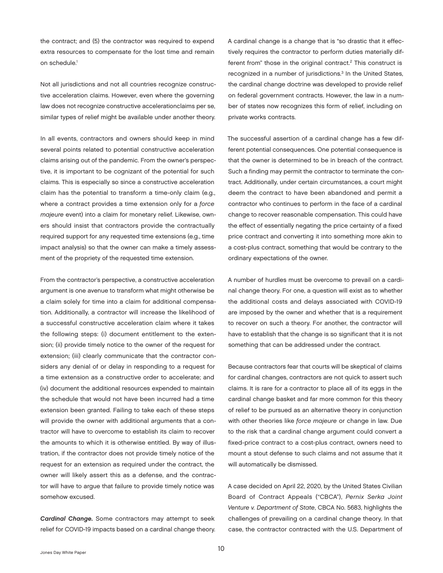<span id="page-11-0"></span>the contract; and (5) the contractor was required to expend extra resources to compensate for the lost time and remain on schedule.<sup>[1](#page-24-0)</sup>

Not all jurisdictions and not all countries recognize constructive acceleration claims. However, even where the governing law does not recognize constructive accelerationclaims per se, similar types of relief might be available under another theory.

In all events, contractors and owners should keep in mind several points related to potential constructive acceleration claims arising out of the pandemic. From the owner's perspective, it is important to be cognizant of the potential for such claims. This is especially so since a constructive acceleration claim has the potential to transform a time-only claim (e.g., where a contract provides a time extension only for a *force majeure* event) into a claim for monetary relief. Likewise, owners should insist that contractors provide the contractually required support for any requested time extensions (e.g., time impact analysis) so that the owner can make a timely assessment of the propriety of the requested time extension.

From the contractor's perspective, a constructive acceleration argument is one avenue to transform what might otherwise be a claim solely for time into a claim for additional compensation. Additionally, a contractor will increase the likelihood of a successful constructive acceleration claim where it takes the following steps: (i) document entitlement to the extension; (ii) provide timely notice to the owner of the request for extension; (iii) clearly communicate that the contractor considers any denial of or delay in responding to a request for a time extension as a constructive order to accelerate; and (iv) document the additional resources expended to maintain the schedule that would not have been incurred had a time extension been granted. Failing to take each of these steps will provide the owner with additional arguments that a contractor will have to overcome to establish its claim to recover the amounts to which it is otherwise entitled. By way of illustration, if the contractor does not provide timely notice of the request for an extension as required under the contract, the owner will likely assert this as a defense, and the contractor will have to argue that failure to provide timely notice was somehow excused.

*Cardinal Change.* Some contractors may attempt to seek relief for COVID-19 impacts based on a cardinal change theory. A cardinal change is a change that is "so drastic that it effectively requires the contractor to perform duties materially different from" those in the original contract.<sup>2</sup> This construct is recognized in a number of jurisdictions.<sup>3</sup> In the United States, the cardinal change doctrine was developed to provide relief on federal government contracts. However, the law in a number of states now recognizes this form of relief, including on private works contracts.

The successful assertion of a cardinal change has a few different potential consequences. One potential consequence is that the owner is determined to be in breach of the contract. Such a finding may permit the contractor to terminate the contract. Additionally, under certain circumstances, a court might deem the contract to have been abandoned and permit a contractor who continues to perform in the face of a cardinal change to recover reasonable compensation. This could have the effect of essentially negating the price certainty of a fixed price contract and converting it into something more akin to a cost-plus contract, something that would be contrary to the ordinary expectations of the owner.

A number of hurdles must be overcome to prevail on a cardinal change theory. For one, a question will exist as to whether the additional costs and delays associated with COVID-19 are imposed by the owner and whether that is a requirement to recover on such a theory. For another, the contractor will have to establish that the change is so significant that it is not something that can be addressed under the contract.

Because contractors fear that courts will be skeptical of claims for cardinal changes, contractors are not quick to assert such claims. It is rare for a contractor to place all of its eggs in the cardinal change basket and far more common for this theory of relief to be pursued as an alternative theory in conjunction with other theories like *force majeure* or change in law. Due to the risk that a cardinal change argument could convert a fixed-price contract to a cost-plus contract, owners need to mount a stout defense to such claims and not assume that it will automatically be dismissed.

A case decided on April 22, 2020, by the United States Civilian Board of Contract Appeals ("CBCA"), *Pernix Serka Joint Venture v. Department of State*, CBCA No. 5683, highlights the challenges of prevailing on a cardinal change theory. In that case, the contractor contracted with the U.S. Department of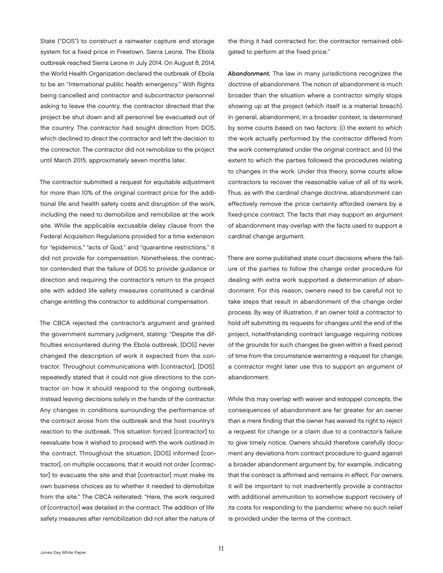<span id="page-12-0"></span>State ("DOS") to construct a rainwater capture and storage system for a fixed price in Freetown, Sierra Leone. The Ebola outbreak reached Sierra Leone in July 2014. On August 8, 2014, the World Health Organization declared the outbreak of Ebola to be an "International public health emergency." With flights being cancelled and contractor and subcontractor personnel asking to leave the country, the contractor directed that the project be shut down and all personnel be evacuated out of the country. The contractor had sought direction from DOS, which declined to direct the contractor and left the decision to the contractor. The contractor did not remobilize to the project until March 2015, approximately seven months later.

The contractor submitted a request for equitable adjustment for more than 10% of the original contract price for the additional life and health safety costs and disruption of the work, including the need to demobilize and remobilize at the work site. While the applicable excusable delay clause from the Federal Acquisition Regulations provided for a time extension for "epidemics," "acts of God," and "quarantine restrictions," it did not provide for compensation. Nonetheless, the contractor contended that the failure of DOS to provide guidance or direction and requiring the contractor's return to the project site with added life safety measures constituted a cardinal change entitling the contractor to additional compensation.

The CBCA rejected the contractor's argument and granted the government summary judgment, stating: "Despite the difficulties encountered during the Ebola outbreak, [DOS] never changed the description of work it expected from the contractor. Throughout communications with [contractor], [DOS] repeatedly stated that it could not give directions to the contractor on how it should respond to the ongoing outbreak, instead leaving decisions solely in the hands of the contractor. Any changes in conditions surrounding the performance of the contract arose from the outbreak and the host country's reaction to the outbreak. This situation forced [contractor] to reevaluate how it wished to proceed with the work outlined in the contract. Throughout the situation, [DOS] informed [contractor], on multiple occasions, that it would not order [contractor] to evacuate the site and that [contractor] must make its own business choices as to whether it needed to demobilize from the site." The CBCA reiterated: "Here, the work required of [contractor] was detailed in the contract. The addition of life safety measures after remobilization did not alter the nature of

the thing it had contracted for; the contractor remained obligated to perform at the fixed price."

*Abandonment.* The law in many jurisdictions recognizes the doctrine of abandonment. The notion of abandonment is much broader than the situation where a contractor simply stops showing up at the project (which itself is a material breach). In general, abandonment, in a broader context, is determined by some courts based on two factors: (i) the extent to which the work actually performed by the contractor differed from the work contemplated under the original contract; and (ii) the extent to which the parties followed the procedures relating to changes in the work. Under this theory, some courts allow contractors to recover the reasonable value of all of its work. Thus, as with the cardinal change doctrine, abandonment can effectively remove the price certainty afforded owners by a fixed-price contract. The facts that may support an argument of abandonment may overlap with the facts used to support a cardinal change argument.

There are some published state court decisions where the failure of the parties to follow the change order procedure for dealing with extra work supported a determination of abandonment. For this reason, owners need to be careful not to take steps that result in abandonment of the change order process. By way of illustration, if an owner told a contractor to hold off submitting its requests for changes until the end of the project, notwithstanding contract language requiring notices of the grounds for such changes be given within a fixed period of time from the circumstance warranting a request for change, a contractor might later use this to support an argument of abandonment.

While this may overlap with waiver and estoppel concepts, the consequences of abandonment are far greater for an owner than a mere finding that the owner has waived its right to reject a request for change or a claim due to a contractor's failure to give timely notice. Owners should therefore carefully document any deviations from contract procedure to guard against a broader abandonment argument by, for example, indicating that the contract is affirmed and remains in effect. For owners, it will be important to not inadvertently provide a contractor with additional ammunition to somehow support recovery of its costs for responding to the pandemic where no such relief is provided under the terms of the contract.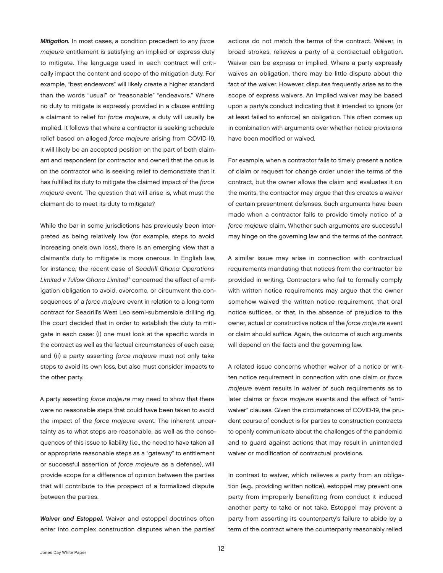<span id="page-13-0"></span>*Mitigation.* In most cases, a condition precedent to any *force majeure* entitlement is satisfying an implied or express duty to mitigate. The language used in each contract will critically impact the content and scope of the mitigation duty. For example, "best endeavors" will likely create a higher standard than the words "usual" or "reasonable" "endeavors." Where no duty to mitigate is expressly provided in a clause entitling a claimant to relief for *force majeure*, a duty will usually be implied. It follows that where a contractor is seeking schedule relief based on alleged *force majeure* arising from COVID-19, it will likely be an accepted position on the part of both claimant and respondent (or contractor and owner) that the onus is on the contractor who is seeking relief to demonstrate that it has fulfilled its duty to mitigate the claimed impact of the *force majeure* event. The question that will arise is, what must the claimant do to meet its duty to mitigate?

While the bar in some jurisdictions has previously been interpreted as being relatively low (for example, steps to avoid increasing one's own loss), there is an emerging view that a claimant's duty to mitigate is more onerous. In English law, for instance, the recent case of *Seadrill Ghana Operations Limited v Tullow Ghana Limited*[4](#page-24-0) concerned the effect of a mitigation obligation to avoid, overcome, or circumvent the consequences of a *force majeure* event in relation to a long-term contract for Seadrill's West Leo semi-submersible drilling rig. The court decided that in order to establish the duty to mitigate in each case: (i) one must look at the specific words in the contract as well as the factual circumstances of each case; and (ii) a party asserting *force majeure* must not only take steps to avoid its own loss, but also must consider impacts to the other party.

A party asserting *force majeure* may need to show that there were no reasonable steps that could have been taken to avoid the impact of the *force majeure* event. The inherent uncertainty as to what steps are reasonable, as well as the consequences of this issue to liability (i.e., the need to have taken all or appropriate reasonable steps as a "gateway" to entitlement or successful assertion of *force majeure* as a defense), will provide scope for a difference of opinion between the parties that will contribute to the prospect of a formalized dispute between the parties.

*Waiver and Estoppel.* Waiver and estoppel doctrines often enter into complex construction disputes when the parties'

actions do not match the terms of the contract. Waiver, in broad strokes, relieves a party of a contractual obligation. Waiver can be express or implied. Where a party expressly waives an obligation, there may be little dispute about the fact of the waiver. However, disputes frequently arise as to the scope of express waivers. An implied waiver may be based upon a party's conduct indicating that it intended to ignore (or at least failed to enforce) an obligation. This often comes up in combination with arguments over whether notice provisions have been modified or waived.

For example, when a contractor fails to timely present a notice of claim or request for change order under the terms of the contract, but the owner allows the claim and evaluates it on the merits, the contractor may argue that this creates a waiver of certain presentment defenses. Such arguments have been made when a contractor fails to provide timely notice of a *force majeure* claim. Whether such arguments are successful may hinge on the governing law and the terms of the contract.

A similar issue may arise in connection with contractual requirements mandating that notices from the contractor be provided in writing. Contractors who fail to formally comply with written notice requirements may argue that the owner somehow waived the written notice requirement, that oral notice suffices, or that, in the absence of prejudice to the owner, actual or constructive notice of the *force majeure* event or claim should suffice. Again, the outcome of such arguments will depend on the facts and the governing law.

A related issue concerns whether waiver of a notice or written notice requirement in connection with one claim or *force majeure* event results in waiver of such requirements as to later claims or *force majeure* events and the effect of "antiwaiver" clauses. Given the circumstances of COVID-19, the prudent course of conduct is for parties to construction contracts to openly communicate about the challenges of the pandemic and to guard against actions that may result in unintended waiver or modification of contractual provisions.

In contrast to waiver, which relieves a party from an obligation (e.g., providing written notice), estoppel may prevent one party from improperly benefitting from conduct it induced another party to take or not take. Estoppel may prevent a party from asserting its counterparty's failure to abide by a term of the contract where the counterparty reasonably relied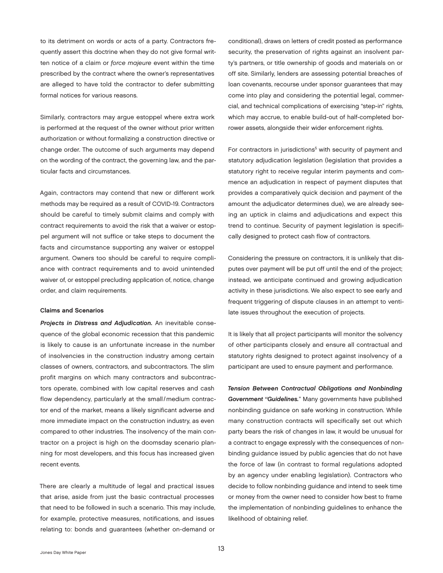<span id="page-14-0"></span>to its detriment on words or acts of a party. Contractors frequently assert this doctrine when they do not give formal written notice of a claim or *force majeure* event within the time prescribed by the contract where the owner's representatives are alleged to have told the contractor to defer submitting formal notices for various reasons.

Similarly, contractors may argue estoppel where extra work is performed at the request of the owner without prior written authorization or without formalizing a construction directive or change order. The outcome of such arguments may depend on the wording of the contract, the governing law, and the particular facts and circumstances.

Again, contractors may contend that new or different work methods may be required as a result of COVID-19. Contractors should be careful to timely submit claims and comply with contract requirements to avoid the risk that a waiver or estoppel argument will not suffice or take steps to document the facts and circumstance supporting any waiver or estoppel argument. Owners too should be careful to require compliance with contract requirements and to avoid unintended waiver of, or estoppel precluding application of, notice, change order, and claim requirements.

### Claims and Scenarios

*Projects in Distress and Adjudication.* An inevitable consequence of the global economic recession that this pandemic is likely to cause is an unfortunate increase in the number of insolvencies in the construction industry among certain classes of owners, contractors, and subcontractors. The slim profit margins on which many contractors and subcontractors operate, combined with low capital reserves and cash flow dependency, particularly at the small/medium contractor end of the market, means a likely significant adverse and more immediate impact on the construction industry, as even compared to other industries. The insolvency of the main contractor on a project is high on the doomsday scenario planning for most developers, and this focus has increased given recent events.

There are clearly a multitude of legal and practical issues that arise, aside from just the basic contractual processes that need to be followed in such a scenario. This may include, for example, protective measures, notifications, and issues relating to: bonds and guarantees (whether on-demand or

conditional), draws on letters of credit posted as performance security, the preservation of rights against an insolvent party's partners, or title ownership of goods and materials on or off site. Similarly, lenders are assessing potential breaches of loan covenants, recourse under sponsor guarantees that may come into play and considering the potential legal, commercial, and technical complications of exercising "step-in" rights, which may accrue, to enable build-out of half-completed borrower assets, alongside their wider enforcement rights.

For contractors in jurisdictions<sup>5</sup> with security of payment and statutory adjudication legislation (legislation that provides a statutory right to receive regular interim payments and commence an adjudication in respect of payment disputes that provides a comparatively quick decision and payment of the amount the adjudicator determines due), we are already seeing an uptick in claims and adjudications and expect this trend to continue. Security of payment legislation is specifically designed to protect cash flow of contractors.

Considering the pressure on contractors, it is unlikely that disputes over payment will be put off until the end of the project; instead, we anticipate continued and growing adjudication activity in these jurisdictions. We also expect to see early and frequent triggering of dispute clauses in an attempt to ventilate issues throughout the execution of projects.

It is likely that all project participants will monitor the solvency of other participants closely and ensure all contractual and statutory rights designed to protect against insolvency of a participant are used to ensure payment and performance.

*Tension Between Contractual Obligations and Nonbinding Government "Guidelines.*" Many governments have published nonbinding guidance on safe working in construction. While many construction contracts will specifically set out which party bears the risk of changes in law, it would be unusual for a contract to engage expressly with the consequences of nonbinding guidance issued by public agencies that do not have the force of law (in contrast to formal regulations adopted by an agency under enabling legislation). Contractors who decide to follow nonbinding guidance and intend to seek time or money from the owner need to consider how best to frame the implementation of nonbinding guidelines to enhance the likelihood of obtaining relief.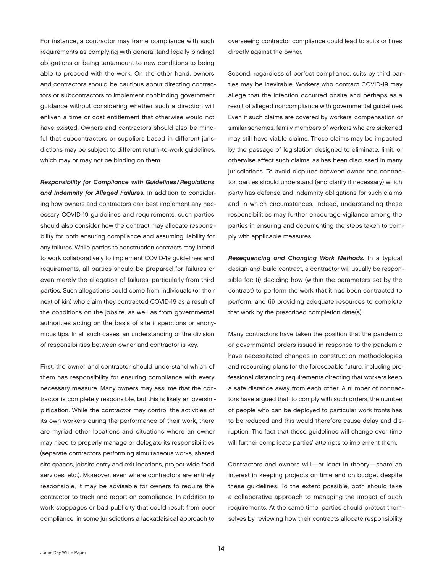<span id="page-15-0"></span>For instance, a contractor may frame compliance with such requirements as complying with general (and legally binding) obligations or being tantamount to new conditions to being able to proceed with the work. On the other hand, owners and contractors should be cautious about directing contractors or subcontractors to implement nonbinding government guidance without considering whether such a direction will enliven a time or cost entitlement that otherwise would not have existed. Owners and contractors should also be mindful that subcontractors or suppliers based in different jurisdictions may be subject to different return-to-work guidelines, which may or may not be binding on them.

*Responsibility for Compliance with Guidelines /Regulations and Indemnity for Alleged Failures.* In addition to considering how owners and contractors can best implement any necessary COVID-19 guidelines and requirements, such parties should also consider how the contract may allocate responsibility for both ensuring compliance and assuming liability for any failures. While parties to construction contracts may intend to work collaboratively to implement COVID-19 guidelines and requirements, all parties should be prepared for failures or even merely the allegation of failures, particularly from third parties. Such allegations could come from individuals (or their next of kin) who claim they contracted COVID-19 as a result of the conditions on the jobsite, as well as from governmental authorities acting on the basis of site inspections or anonymous tips. In all such cases, an understanding of the division of responsibilities between owner and contractor is key.

First, the owner and contractor should understand which of them has responsibility for ensuring compliance with every necessary measure. Many owners may assume that the contractor is completely responsible, but this is likely an oversimplification. While the contractor may control the activities of its own workers during the performance of their work, there are myriad other locations and situations where an owner may need to properly manage or delegate its responsibilities (separate contractors performing simultaneous works, shared site spaces, jobsite entry and exit locations, project-wide food services, etc.). Moreover, even where contractors are entirely responsible, it may be advisable for owners to require the contractor to track and report on compliance. In addition to work stoppages or bad publicity that could result from poor compliance, in some jurisdictions a lackadaisical approach to

overseeing contractor compliance could lead to suits or fines directly against the owner.

Second, regardless of perfect compliance, suits by third parties may be inevitable. Workers who contract COVID-19 may allege that the infection occurred onsite and perhaps as a result of alleged noncompliance with governmental guidelines. Even if such claims are covered by workers' compensation or similar schemes, family members of workers who are sickened may still have viable claims. These claims may be impacted by the passage of legislation designed to eliminate, limit, or otherwise affect such claims, as has been discussed in many jurisdictions. To avoid disputes between owner and contractor, parties should understand (and clarify if necessary) which party has defense and indemnity obligations for such claims and in which circumstances. Indeed, understanding these responsibilities may further encourage vigilance among the parties in ensuring and documenting the steps taken to comply with applicable measures.

*Resequencing and Changing Work Methods.* In a typical design-and-build contract, a contractor will usually be responsible for: (i) deciding how (within the parameters set by the contract) to perform the work that it has been contracted to perform; and (ii) providing adequate resources to complete that work by the prescribed completion date(s).

Many contractors have taken the position that the pandemic or governmental orders issued in response to the pandemic have necessitated changes in construction methodologies and resourcing plans for the foreseeable future, including professional distancing requirements directing that workers keep a safe distance away from each other. A number of contractors have argued that, to comply with such orders, the number of people who can be deployed to particular work fronts has to be reduced and this would therefore cause delay and disruption. The fact that these guidelines will change over time will further complicate parties' attempts to implement them.

Contractors and owners will—at least in theory—share an interest in keeping projects on time and on budget despite these guidelines. To the extent possible, both should take a collaborative approach to managing the impact of such requirements. At the same time, parties should protect themselves by reviewing how their contracts allocate responsibility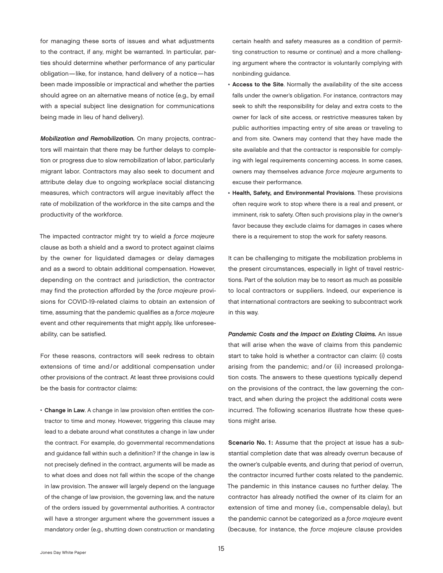<span id="page-16-0"></span>for managing these sorts of issues and what adjustments to the contract, if any, might be warranted. In particular, parties should determine whether performance of any particular obligation—like, for instance, hand delivery of a notice—has been made impossible or impractical and whether the parties should agree on an alternative means of notice (e.g., by email with a special subject line designation for communications being made in lieu of hand delivery).

*Mobilization and Remobilization.* On many projects, contractors will maintain that there may be further delays to completion or progress due to slow remobilization of labor, particularly migrant labor. Contractors may also seek to document and attribute delay due to ongoing workplace social distancing measures, which contractors will argue inevitably affect the rate of mobilization of the workforce in the site camps and the productivity of the workforce.

The impacted contractor might try to wield a *force majeure* clause as both a shield and a sword to protect against claims by the owner for liquidated damages or delay damages and as a sword to obtain additional compensation. However, depending on the contract and jurisdiction, the contractor may find the protection afforded by the *force majeure* provisions for COVID-19-related claims to obtain an extension of time, assuming that the pandemic qualifies as a *force majeure* event and other requirements that might apply, like unforeseeability, can be satisfied.

For these reasons, contractors will seek redress to obtain extensions of time and/or additional compensation under other provisions of the contract. At least three provisions could be the basis for contractor claims:

• Change in Law. A change in law provision often entitles the contractor to time and money. However, triggering this clause may lead to a debate around what constitutes a change in law under the contract. For example, do governmental recommendations and guidance fall within such a definition? If the change in law is not precisely defined in the contract, arguments will be made as to what does and does not fall within the scope of the change in law provision. The answer will largely depend on the language of the change of law provision, the governing law, and the nature of the orders issued by governmental authorities. A contractor will have a stronger argument where the government issues a mandatory order (e.g., shutting down construction or mandating

certain health and safety measures as a condition of permitting construction to resume or continue) and a more challenging argument where the contractor is voluntarily complying with nonbinding guidance.

- Access to the Site. Normally the availability of the site access falls under the owner's obligation. For instance, contractors may seek to shift the responsibility for delay and extra costs to the owner for lack of site access, or restrictive measures taken by public authorities impacting entry of site areas or traveling to and from site. Owners may contend that they have made the site available and that the contractor is responsible for complying with legal requirements concerning access. In some cases, owners may themselves advance *force majeure* arguments to excuse their performance.
- Health, Safety, and Environmental Provisions. These provisions often require work to stop where there is a real and present, or imminent, risk to safety. Often such provisions play in the owner's favor because they exclude claims for damages in cases where there is a requirement to stop the work for safety reasons.

It can be challenging to mitigate the mobilization problems in the present circumstances, especially in light of travel restrictions. Part of the solution may be to resort as much as possible to local contractors or suppliers. Indeed, our experience is that international contractors are seeking to subcontract work in this way.

*Pandemic Costs and the Impact on Existing Claims.* An issue that will arise when the wave of claims from this pandemic start to take hold is whether a contractor can claim: (i) costs arising from the pandemic; and/or (ii) increased prolongation costs. The answers to these questions typically depend on the provisions of the contract, the law governing the contract, and when during the project the additional costs were incurred. The following scenarios illustrate how these questions might arise.

Scenario No. 1: Assume that the project at issue has a substantial completion date that was already overrun because of the owner's culpable events, and during that period of overrun, the contractor incurred further costs related to the pandemic. The pandemic in this instance causes no further delay. The contractor has already notified the owner of its claim for an extension of time and money (i.e., compensable delay), but the pandemic cannot be categorized as a *force majeure* event (because, for instance, the *force majeure* clause provides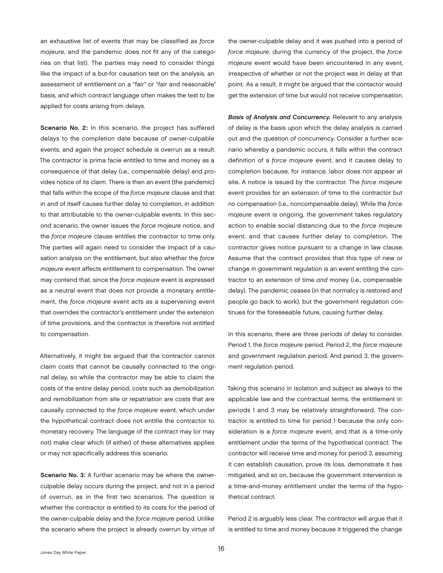<span id="page-17-0"></span>an exhaustive list of events that may be classified as *force majeure*, and the pandemic does not fit any of the categories on that list). The parties may need to consider things like the impact of a but-for causation test on the analysis, an assessment of entitlement on a "fair" or "fair and reasonable" basis, and which contract language often makes the test to be applied for costs arising from delays.

Scenario No. 2: In this scenario, the project has suffered delays to the completion date because of owner-culpable events, and again the project schedule is overrun as a result. The contractor is prima facie entitled to time and money as a consequence of that delay (i.e., compensable delay) and provides notice of its claim. There is then an event (the pandemic) that falls within the scope of the *force majeure* clause and that in and of itself causes further delay to completion, in addition to that attributable to the owner-culpable events. In this second scenario, the owner issues the *force majeure* notice, and the *force majeure* clause entitles the contractor to time only. The parties will again need to consider the impact of a causation analysis on the entitlement, but also whether the *force majeure* event affects entitlement to compensation. The owner may contend that, since the *force majeure* event is expressed as a neutral event that does not provide a monetary entitlement, the *force majeure* event acts as a supervening event that overrides the contractor's entitlement under the extension of time provisions, and the contractor is therefore not entitled to compensation.

Alternatively, it might be argued that the contractor cannot claim costs that cannot be causally connected to the original delay, so while the contractor may be able to claim the costs of the entire delay period, costs such as demobilization and remobilization from site or repatriation are costs that are causally connected to the *force majeure* event, which under the hypothetical contract does not entitle the contractor to monetary recovery. The language of the contract may (or may not) make clear which (if either) of these alternatives applies or may not specifically address this scenario.

Scenario No. 3: A further scenario may be where the ownerculpable delay occurs during the project, and not in a period of overrun, as in the first two scenarios. The question is whether the contractor is entitled to its costs for the period of the owner-culpable delay and the *force majeure* period. Unlike the scenario where the project is already overrun by virtue of

the owner-culpable delay and it was pushed into a period of *force majeure*, during the currency of the project, the *force majeure* event would have been encountered in any event, irrespective of whether or not the project was in delay at that point. As a result, it might be argued that the contactor would get the extension of time but would not receive compensation.

*Basis of Analysis and Concurrency.* Relevant to any analysis of delay is the basis upon which the delay analysis is carried out and the question of concurrency. Consider a further scenario whereby a pandemic occurs, it falls within the contract definition of a *force majeure* event, and it causes delay to completion because, for instance, labor does not appear at site. A notice is issued by the contractor. The *force majeure* event provides for an extension of time to the contractor but no compensation (i.e., noncompensable delay). While the *force majeure* event is ongoing, the government takes regulatory action to enable social distancing due to the *force majeure* event, and that causes further delay to completion. The contractor gives notice pursuant to a change in law clause. Assume that the contract provides that this type of new or change in government regulation is an event entitling the contractor to an extension of time *and* money (i.e., compensable delay). The pandemic ceases (in that normalcy is restored and people go back to work), but the government regulation continues for the foreseeable future, causing further delay.

In this scenario, there are three periods of delay to consider. Period 1, the *force majeure* period. Period 2, the *force majeure* and government regulation period. And period 3, the government regulation period.

Taking this scenario in isolation and subject as always to the applicable law and the contractual terms, the entitlement in periods 1 and 3 may be relatively straightforward. The contractor is entitled to time for period 1 because the only consideration is a *force majeure* event, and that is a time-only entitlement under the terms of the hypothetical contract. The contractor will receive time and money for period 3, assuming it can establish causation, prove its loss, demonstrate it has mitigated, and so on, because the government intervention is a time-and-money entitlement under the terms of the hypothetical contract.

Period 2 is arguably less clear. The contractor will argue that it is entitled to time and money because it triggered the change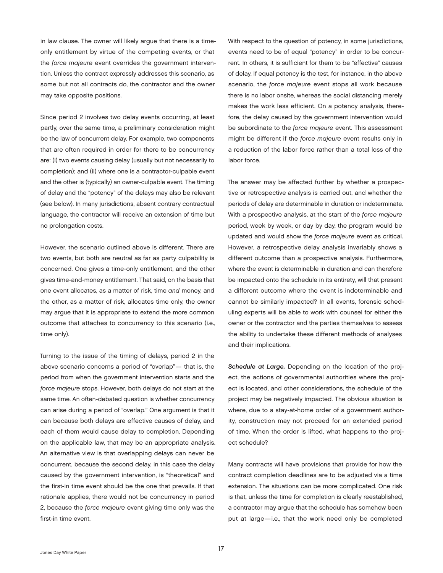<span id="page-18-0"></span>in law clause. The owner will likely argue that there is a timeonly entitlement by virtue of the competing events, or that the *force majeure* event overrides the government intervention. Unless the contract expressly addresses this scenario, as some but not all contracts do, the contractor and the owner may take opposite positions.

Since period 2 involves two delay events occurring, at least partly, over the same time, a preliminary consideration might be the law of concurrent delay. For example, two components that are often required in order for there to be concurrency are: (i) two events causing delay (usually but not necessarily to completion); and (ii) where one is a contractor-culpable event and the other is (typically) an owner-culpable event. The timing of delay and the "potency" of the delays may also be relevant (see below). In many jurisdictions, absent contrary contractual language, the contractor will receive an extension of time but no prolongation costs.

However, the scenario outlined above is different. There are two events, but both are neutral as far as party culpability is concerned. One gives a time-only entitlement, and the other gives time-and-money entitlement. That said, on the basis that one event allocates, as a matter of risk, time *and* money, and the other, as a matter of risk, allocates time only, the owner may argue that it is appropriate to extend the more common outcome that attaches to concurrency to this scenario (i.e., time only).

Turning to the issue of the timing of delays, period 2 in the above scenario concerns a period of "overlap"— that is, the period from when the government intervention starts and the *force majeure* stops. However, both delays do not start at the same time. An often-debated question is whether concurrency can arise during a period of "overlap." One argument is that it can because both delays are effective causes of delay, and each of them would cause delay to completion. Depending on the applicable law, that may be an appropriate analysis. An alternative view is that overlapping delays can never be concurrent, because the second delay, in this case the delay caused by the government intervention, is "theoretical" and the first-in time event should be the one that prevails. If that rationale applies, there would not be concurrency in period 2, because the *force majeure* event giving time only was the first-in time event.

With respect to the question of potency, in some jurisdictions, events need to be of equal "potency" in order to be concurrent. In others, it is sufficient for them to be "effective" causes of delay. If equal potency is the test, for instance, in the above scenario, the *force majeure* event stops all work because there is no labor onsite, whereas the social distancing merely makes the work less efficient. On a potency analysis, therefore, the delay caused by the government intervention would be subordinate to the *force majeure* event. This assessment might be different if the *force majeure* event results only in a reduction of the labor force rather than a total loss of the labor force.

The answer may be affected further by whether a prospective or retrospective analysis is carried out, and whether the periods of delay are determinable in duration or indeterminate. With a prospective analysis, at the start of the *force majeure* period, week by week, or day by day, the program would be updated and would show the *force majeure* event as critical. However, a retrospective delay analysis invariably shows a different outcome than a prospective analysis. Furthermore, where the event is determinable in duration and can therefore be impacted onto the schedule in its entirety, will that present a different outcome where the event is indeterminable and cannot be similarly impacted? In all events, forensic scheduling experts will be able to work with counsel for either the owner or the contractor and the parties themselves to assess the ability to undertake these different methods of analyses and their implications.

*Schedule at Large.* Depending on the location of the project, the actions of governmental authorities where the project is located, and other considerations, the schedule of the project may be negatively impacted. The obvious situation is where, due to a stay-at-home order of a government authority, construction may not proceed for an extended period of time. When the order is lifted, what happens to the project schedule?

Many contracts will have provisions that provide for how the contract completion deadlines are to be adjusted via a time extension. The situations can be more complicated. One risk is that, unless the time for completion is clearly reestablished, a contractor may argue that the schedule has somehow been put at large—i.e., that the work need only be completed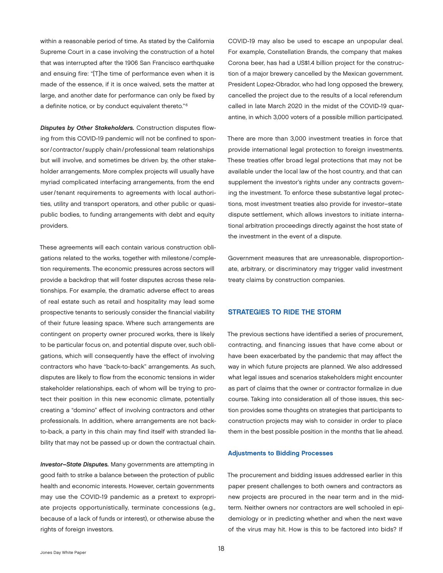<span id="page-19-0"></span>within a reasonable period of time. As stated by the California Supreme Court in a case involving the construction of a hotel that was interrupted after the 1906 San Francisco earthquake and ensuing fire: "[T]he time of performance even when it is made of the essence, if it is once waived, sets the matter at large, and another date for performance can only be fixed by a definite notice, or by conduct equivalent thereto."[6](#page-24-0)

*Disputes by Other Stakeholders.* Construction disputes flowing from this COVID-19 pandemic will not be confined to sponsor/contractor/ supply chain/professional team relationships but will involve, and sometimes be driven by, the other stakeholder arrangements. More complex projects will usually have myriad complicated interfacing arrangements, from the end user/tenant requirements to agreements with local authorities, utility and transport operators, and other public or quasipublic bodies, to funding arrangements with debt and equity providers.

These agreements will each contain various construction obligations related to the works, together with milestone/completion requirements. The economic pressures across sectors will provide a backdrop that will foster disputes across these relationships. For example, the dramatic adverse effect to areas of real estate such as retail and hospitality may lead some prospective tenants to seriously consider the financial viability of their future leasing space. Where such arrangements are contingent on property owner procured works, there is likely to be particular focus on, and potential dispute over, such obligations, which will consequently have the effect of involving contractors who have "back-to-back" arrangements. As such, disputes are likely to flow from the economic tensions in wider stakeholder relationships, each of whom will be trying to protect their position in this new economic climate, potentially creating a "domino" effect of involving contractors and other professionals. In addition, where arrangements are not backto-back, a party in this chain may find itself with stranded liability that may not be passed up or down the contractual chain.

*Investor–State Disputes.* Many governments are attempting in good faith to strike a balance between the protection of public health and economic interests. However, certain governments may use the COVID-19 pandemic as a pretext to expropriate projects opportunistically, terminate concessions (e.g., because of a lack of funds or interest), or otherwise abuse the rights of foreign investors.

COVID-19 may also be used to escape an unpopular deal. For example, Constellation Brands, the company that makes Corona beer, has had a US\$1.4 billion project for the construction of a major brewery cancelled by the Mexican government. President Lopez-Obrador, who had long opposed the brewery, cancelled the project due to the results of a local referendum called in late March 2020 in the midst of the COVID-19 quarantine, in which 3,000 voters of a possible million participated.

There are more than 3,000 investment treaties in force that provide international legal protection to foreign investments. These treaties offer broad legal protections that may not be available under the local law of the host country, and that can supplement the investor's rights under any contracts governing the investment. To enforce these substantive legal protections, most investment treaties also provide for investor–state dispute settlement, which allows investors to initiate international arbitration proceedings directly against the host state of the investment in the event of a dispute.

Government measures that are unreasonable, disproportionate, arbitrary, or discriminatory may trigger valid investment treaty claims by construction companies.

### STRATEGIES TO RIDE THE STORM

The previous sections have identified a series of procurement, contracting, and financing issues that have come about or have been exacerbated by the pandemic that may affect the way in which future projects are planned. We also addressed what legal issues and scenarios stakeholders might encounter as part of claims that the owner or contractor formalize in due course. Taking into consideration all of those issues, this section provides some thoughts on strategies that participants to construction projects may wish to consider in order to place them in the best possible position in the months that lie ahead.

### Adjustments to Bidding Processes

The procurement and bidding issues addressed earlier in this paper present challenges to both owners and contractors as new projects are procured in the near term and in the midterm. Neither owners nor contractors are well schooled in epidemiology or in predicting whether and when the next wave of the virus may hit. How is this to be factored into bids? If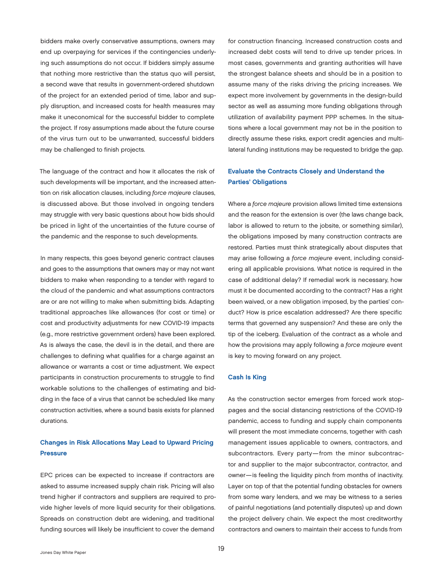<span id="page-20-0"></span>bidders make overly conservative assumptions, owners may end up overpaying for services if the contingencies underlying such assumptions do not occur. If bidders simply assume that nothing more restrictive than the status quo will persist, a second wave that results in government-ordered shutdown of the project for an extended period of time, labor and supply disruption, and increased costs for health measures may make it uneconomical for the successful bidder to complete the project. If rosy assumptions made about the future course of the virus turn out to be unwarranted, successful bidders may be challenged to finish projects.

The language of the contract and how it allocates the risk of such developments will be important, and the increased attention on risk allocation clauses, including *force majeure* clauses, is discussed above. But those involved in ongoing tenders may struggle with very basic questions about how bids should be priced in light of the uncertainties of the future course of the pandemic and the response to such developments.

In many respects, this goes beyond generic contract clauses and goes to the assumptions that owners may or may not want bidders to make when responding to a tender with regard to the cloud of the pandemic and what assumptions contractors are or are not willing to make when submitting bids. Adapting traditional approaches like allowances (for cost or time) or cost and productivity adjustments for new COVID-19 impacts (e.g., more restrictive government orders) have been explored. As is always the case, the devil is in the detail, and there are challenges to defining what qualifies for a charge against an allowance or warrants a cost or time adjustment. We expect participants in construction procurements to struggle to find workable solutions to the challenges of estimating and bidding in the face of a virus that cannot be scheduled like many construction activities, where a sound basis exists for planned durations.

# Changes in Risk Allocations May Lead to Upward Pricing **Pressure**

EPC prices can be expected to increase if contractors are asked to assume increased supply chain risk. Pricing will also trend higher if contractors and suppliers are required to provide higher levels of more liquid security for their obligations. Spreads on construction debt are widening, and traditional funding sources will likely be insufficient to cover the demand

for construction financing. Increased construction costs and increased debt costs will tend to drive up tender prices. In most cases, governments and granting authorities will have the strongest balance sheets and should be in a position to assume many of the risks driving the pricing increases. We expect more involvement by governments in the design-build sector as well as assuming more funding obligations through utilization of availability payment PPP schemes. In the situations where a local government may not be in the position to directly assume these risks, export credit agencies and multilateral funding institutions may be requested to bridge the gap.

# Evaluate the Contracts Closely and Understand the Parties' Obligations

Where a *force majeure* provision allows limited time extensions and the reason for the extension is over (the laws change back, labor is allowed to return to the jobsite, or something similar), the obligations imposed by many construction contracts are restored. Parties must think strategically about disputes that may arise following a *force majeure* event, including considering all applicable provisions. What notice is required in the case of additional delay? If remedial work is necessary, how must it be documented according to the contract? Has a right been waived, or a new obligation imposed, by the parties' conduct? How is price escalation addressed? Are there specific terms that governed any suspension? And these are only the tip of the iceberg. Evaluation of the contract as a whole and how the provisions may apply following a *force majeure* event is key to moving forward on any project.

### Cash Is King

As the construction sector emerges from forced work stoppages and the social distancing restrictions of the COVID-19 pandemic, access to funding and supply chain components will present the most immediate concerns, together with cash management issues applicable to owners, contractors, and subcontractors. Every party—from the minor subcontractor and supplier to the major subcontractor, contractor, and owner—is feeling the liquidity pinch from months of inactivity. Layer on top of that the potential funding obstacles for owners from some wary lenders, and we may be witness to a series of painful negotiations (and potentially disputes) up and down the project delivery chain. We expect the most creditworthy contractors and owners to maintain their access to funds from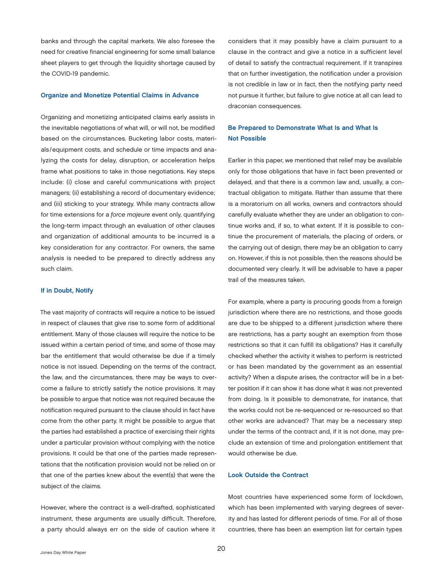<span id="page-21-0"></span>banks and through the capital markets. We also foresee the need for creative financial engineering for some small balance sheet players to get through the liquidity shortage caused by the COVID-19 pandemic.

### Organize and Monetize Potential Claims in Advance

Organizing and monetizing anticipated claims early assists in the inevitable negotiations of what will, or will not, be modified based on the circumstances. Bucketing labor costs, materials /equipment costs, and schedule or time impacts and analyzing the costs for delay, disruption, or acceleration helps frame what positions to take in those negotiations. Key steps include: (i) close and careful communications with project managers; (ii) establishing a record of documentary evidence; and (iii) sticking to your strategy. While many contracts allow for time extensions for a *force majeure* event only, quantifying the long-term impact through an evaluation of other clauses and organization of additional amounts to be incurred is a key consideration for any contractor. For owners, the same analysis is needed to be prepared to directly address any such claim.

### If in Doubt, Notify

The vast majority of contracts will require a notice to be issued in respect of clauses that give rise to some form of additional entitlement. Many of those clauses will require the notice to be issued within a certain period of time, and some of those may bar the entitlement that would otherwise be due if a timely notice is not issued. Depending on the terms of the contract, the law, and the circumstances, there may be ways to overcome a failure to strictly satisfy the notice provisions. It may be possible to argue that notice was not required because the notification required pursuant to the clause should in fact have come from the other party. It might be possible to argue that the parties had established a practice of exercising their rights under a particular provision without complying with the notice provisions. It could be that one of the parties made representations that the notification provision would not be relied on or that one of the parties knew about the event(s) that were the subject of the claims.

However, where the contract is a well-drafted, sophisticated instrument, these arguments are usually difficult. Therefore, a party should always err on the side of caution where it

considers that it may possibly have a claim pursuant to a clause in the contract and give a notice in a sufficient level of detail to satisfy the contractual requirement. If it transpires that on further investigation, the notification under a provision is not credible in law or in fact, then the notifying party need not pursue it further, but failure to give notice at all can lead to draconian consequences.

# Be Prepared to Demonstrate What Is and What Is Not Possible

Earlier in this paper, we mentioned that relief may be available only for those obligations that have in fact been prevented or delayed, and that there is a common law and, usually, a contractual obligation to mitigate. Rather than assume that there is a moratorium on all works, owners and contractors should carefully evaluate whether they are under an obligation to continue works and, if so, to what extent. If it is possible to continue the procurement of materials, the placing of orders, or the carrying out of design, there may be an obligation to carry on. However, if this is not possible, then the reasons should be documented very clearly. It will be advisable to have a paper trail of the measures taken.

For example, where a party is procuring goods from a foreign jurisdiction where there are no restrictions, and those goods are due to be shipped to a different jurisdiction where there are restrictions, has a party sought an exemption from those restrictions so that it can fulfill its obligations? Has it carefully checked whether the activity it wishes to perform is restricted or has been mandated by the government as an essential activity? When a dispute arises, the contractor will be in a better position if it can show it has done what it was not prevented from doing. Is it possible to demonstrate, for instance, that the works could not be re-sequenced or re-resourced so that other works are advanced? That may be a necessary step under the terms of the contract and, if it is not done, may preclude an extension of time and prolongation entitlement that would otherwise be due.

#### Look Outside the Contract

Most countries have experienced some form of lockdown, which has been implemented with varying degrees of severity and has lasted for different periods of time. For all of those countries, there has been an exemption list for certain types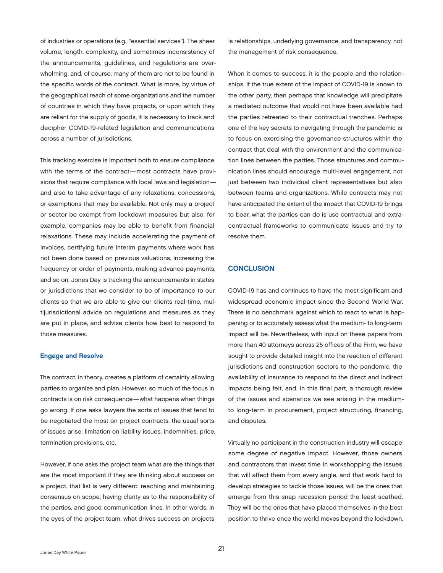<span id="page-22-0"></span>of industries or operations (e.g., "essential services"). The sheer volume, length, complexity, and sometimes inconsistency of the announcements, guidelines, and regulations are overwhelming, and, of course, many of them are not to be found in the specific words of the contract. What is more, by virtue of the geographical reach of some organizations and the number of countries in which they have projects, or upon which they are reliant for the supply of goods, it is necessary to track and decipher COVID-19-related legislation and communications across a number of jurisdictions.

This tracking exercise is important both to ensure compliance with the terms of the contract—most contracts have provisions that require compliance with local laws and legislation and also to take advantage of any relaxations, concessions, or exemptions that may be available. Not only may a project or sector be exempt from lockdown measures but also, for example, companies may be able to benefit from financial relaxations. These may include accelerating the payment of invoices, certifying future interim payments where work has not been done based on previous valuations, increasing the frequency or order of payments, making advance payments, and so on. Jones Day is tracking the announcements in states or jurisdictions that we consider to be of importance to our clients so that we are able to give our clients real-time, multijurisdictional advice on regulations and measures as they are put in place, and advise clients how best to respond to those measures.

### Engage and Resolve

The contract, in theory, creates a platform of certainty allowing parties to organize and plan. However, so much of the focus in contracts is on risk consequence—what happens when things go wrong. If one asks lawyers the sorts of issues that tend to be negotiated the most on project contracts, the usual sorts of issues arise: limitation on liability issues, indemnities, price, termination provisions, etc.

However, if one asks the project team what are the things that are the most important if they are thinking about success on a project, that list is very different: reaching and maintaining consensus on scope, having clarity as to the responsibility of the parties, and good communication lines. In other words, in the eyes of the project team, what drives success on projects

is relationships, underlying governance, and transparency, not the management of risk consequence.

When it comes to success, it is the people and the relationships. If the true extent of the impact of COVID-19 is known to the other party, then perhaps that knowledge will precipitate a mediated outcome that would not have been available had the parties retreated to their contractual trenches. Perhaps one of the key secrets to navigating through the pandemic is to focus on exercising the governance structures within the contract that deal with the environment and the communication lines between the parties. Those structures and communication lines should encourage multi-level engagement, not just between two individual client representatives but also between teams and organizations. While contracts may not have anticipated the extent of the impact that COVID-19 brings to bear, what the parties can do is use contractual and extracontractual frameworks to communicate issues and try to resolve them.

### **CONCLUSION**

COVID-19 has and continues to have the most significant and widespread economic impact since the Second World War. There is no benchmark against which to react to what is happening or to accurately assess what the medium- to long-term impact will be. Nevertheless, with input on these papers from more than 40 attorneys across 25 offices of the Firm, we have sought to provide detailed insight into the reaction of different jurisdictions and construction sectors to the pandemic, the availability of insurance to respond to the direct and indirect impacts being felt, and, in this final part, a thorough review of the issues and scenarios we see arising in the mediumto long-term in procurement, project structuring, financing, and disputes.

Virtually no participant in the construction industry will escape some degree of negative impact. However, those owners and contractors that invest time in workshopping the issues that will affect them from every angle, and that work hard to develop strategies to tackle those issues, will be the ones that emerge from this snap recession period the least scathed. They will be the ones that have placed themselves in the best position to thrive once the world moves beyond the lockdown.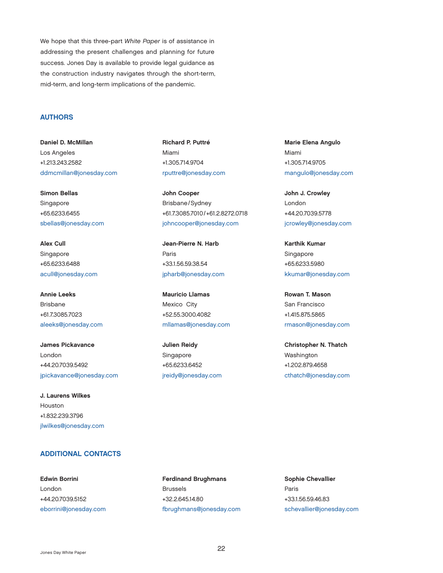<span id="page-23-0"></span>We hope that this three-part *White Paper* is of assistance in addressing the present challenges and planning for future success. Jones Day is available to provide legal guidance as the construction industry navigates through the short-term, mid-term, and long-term implications of the pandemic.

### AUTHORS

Daniel D. McMillan Los Angeles +1.213.243.2582 [ddmcmillan@jonesday.com](mailto:ddmcmillan@jonesday.com)

Simon Bellas Singapore +65.6233.6455 [sbellas@jonesday.com](mailto:sbellas@jonesday.com)

Alex Cull Singapore +65.6233.6488 [acull@jonesday.com](mailto:acull@jonesday.com)

Annie Leeks Brisbane +61.7.3085.7023 [aleeks@jonesday.com](mailto:aleeks@jonesday.com)

James Pickavance London +44.20.7039.5492 [jpickavance@jonesday.com](mailto:jpickavance@jonesday.com)

J. Laurens Wilkes Houston +1.832.239.3796 [jlwilkes@jonesday.com](mailto:jlwilkes@jonesday.com)

### ADDITIONAL CONTACTS

Edwin Borrini London +44.20.7039.5152 [eborrini@jonesday.com](mailto:eborrini@jonesday.com) Richard P. Puttré Miami +1.305.714.9704 [rputtre@jonesday.com](mailto:rputtre@jonesday.com)

John Cooper Brisbane/Sydney +61.7.3085.7010/+61.2.8272.0718 [johncooper@jonesday.com](mailto:johncooper@jonesday.com)

Jean-Pierre N. Harb Paris +33.1.56.59.38.54 [jpharb@jonesday.com](mailto:jpharb@jonesday.com)

Mauricio Llamas Mexico City +52.55.3000.4082 [mllamas@jonesday.com](mailto:mllamas@jonesday.com)

Julien Reidy Singapore +65.6233.6452 [jreidy@jonesday.com](mailto:jreidy@jonesday.com) Marie Elena Angulo Miami +1.305.714.9705 [mangulo@jonesday.com](mailto:mangulo@jonesday.com)

John J. Crowley London +44.20.7039.5778 [jcrowley@jonesday.com](mailto:jcrowley@jonesday.com)

Karthik Kumar Singapore +65.6233.5980 [kkumar@jonesday.com](mailto:kkumar@jonesday.com)

Rowan T. Mason San Francisco +1.415.875.5865 [rmason@jonesday.com](mailto:rmason@jonesday.com)

Christopher N. Thatch Washington +1.202.879.4658 [cthatch@jonesday.com](mailto:cthatch@jonesday.com)

Ferdinand Brughmans Brussels +32.2.645.14.80 [fbrughmans@jonesday.com](mailto:fbrughmans@jonesday.com) Sophie Chevallier Paris +33.1.56.59.46.83 [schevallier@jonesday.com](mailto:schevallier@jonesday.com)